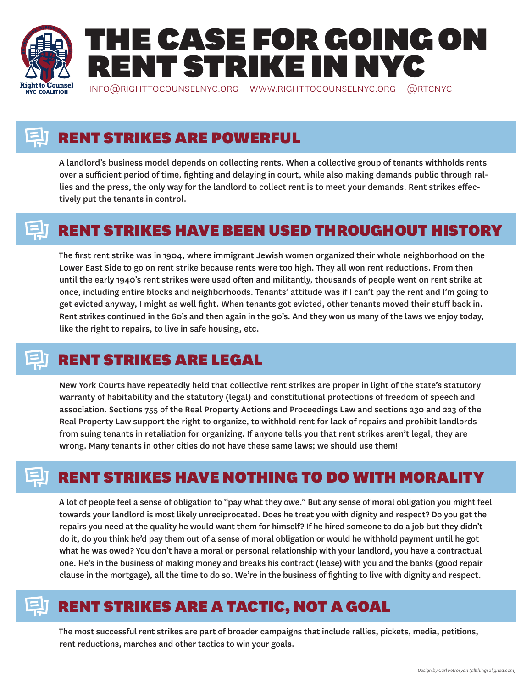

# RENT STRIKES ARE POWERFUL

A landlord's business model depends on collecting rents. When a collective group of tenants withholds rents over a sufficient period of time, fighting and delaying in court, while also making demands public through rallies and the press, the only way for the landlord to collect rent is to meet your demands. Rent strikes effectively put the tenants in control.

### RENT STRIKES HAVE BEEN USED THROUGHOUT HISTORY

The first rent strike was in 1904, where immigrant Jewish women organized their whole neighborhood on the Lower East Side to go on rent strike because rents were too high. They all won rent reductions. From then until the early 1940's rent strikes were used often and militantly, thousands of people went on rent strike at once, including entire blocks and neighborhoods. Tenants' attitude was if I can't pay the rent and I'm going to get evicted anyway, I might as well fight. When tenants got evicted, other tenants moved their stuff back in. Rent strikes continued in the 60's and then again in the 90's. And they won us many of the laws we enjoy today, like the right to repairs, to live in safe housing, etc.

# RENT STRIKES ARE LEGAL

New York Courts have repeatedly held that collective rent strikes are proper in light of the state's statutory warranty of habitability and the statutory (legal) and constitutional protections of freedom of speech and association. Sections 755 of the Real Property Actions and Proceedings Law and sections 230 and 223 of the Real Property Law support the right to organize, to withhold rent for lack of repairs and prohibit landlords from suing tenants in retaliation for organizing. If anyone tells you that rent strikes aren't legal, they are wrong. Many tenants in other cities do not have these same laws; we should use them!

### RENT STRIKES HAVE NOTHING TO DO WITH MORALITY

A lot of people feel a sense of obligation to "pay what they owe." But any sense of moral obligation you might feel towards your landlord is most likely unreciprocated. Does he treat you with dignity and respect? Do you get the repairs you need at the quality he would want them for himself? If he hired someone to do a job but they didn't do it, do you think he'd pay them out of a sense of moral obligation or would he withhold payment until he got what he was owed? You don't have a moral or personal relationship with your landlord, you have a contractual one. He's in the business of making money and breaks his contract (lease) with you and the banks (good repair clause in the mortgage), all the time to do so. We're in the business of fighting to live with dignity and respect.

# RENT STRIKES ARE A TACTIC, NOT A GOAL

The most successful rent strikes are part of broader campaigns that include rallies, pickets, media, petitions, rent reductions, marches and other tactics to win your goals.